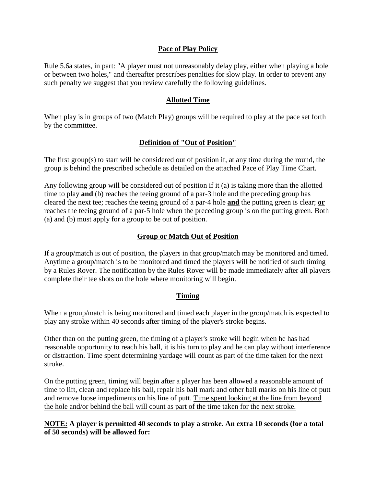# **Pace of Play Policy**

Rule 5.6a states, in part: "A player must not unreasonably delay play, either when playing a hole or between two holes," and thereafter prescribes penalties for slow play. In order to prevent any such penalty we suggest that you review carefully the following guidelines.

### **Allotted Time**

When play is in groups of two (Match Play) groups will be required to play at the pace set forth by the committee.

## **Definition of "Out of Position"**

The first group(s) to start will be considered out of position if, at any time during the round, the group is behind the prescribed schedule as detailed on the attached Pace of Play Time Chart.

Any following group will be considered out of position if it (a) is taking more than the allotted time to play **and** (b) reaches the teeing ground of a par-3 hole and the preceding group has cleared the next tee; reaches the teeing ground of a par-4 hole **and** the putting green is clear; **or** reaches the teeing ground of a par-5 hole when the preceding group is on the putting green. Both (a) and (b) must apply for a group to be out of position.

# **Group or Match Out of Position**

If a group/match is out of position, the players in that group/match may be monitored and timed. Anytime a group/match is to be monitored and timed the players will be notified of such timing by a Rules Rover. The notification by the Rules Rover will be made immediately after all players complete their tee shots on the hole where monitoring will begin.

#### **Timing**

When a group/match is being monitored and timed each player in the group/match is expected to play any stroke within 40 seconds after timing of the player's stroke begins.

Other than on the putting green, the timing of a player's stroke will begin when he has had reasonable opportunity to reach his ball, it is his turn to play and he can play without interference or distraction. Time spent determining yardage will count as part of the time taken for the next stroke.

On the putting green, timing will begin after a player has been allowed a reasonable amount of time to lift, clean and replace his ball, repair his ball mark and other ball marks on his line of putt and remove loose impediments on his line of putt. Time spent looking at the line from beyond the hole and/or behind the ball will count as part of the time taken for the next stroke.

**NOTE: A player is permitted 40 seconds to play a stroke. An extra 10 seconds (for a total of 50 seconds) will be allowed for:**